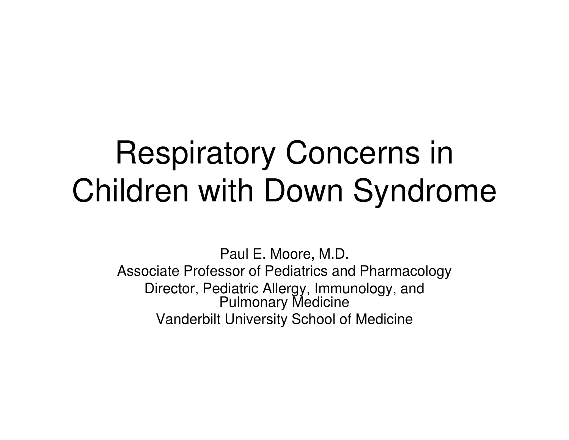# Respiratory Concerns in Children with Down Syndrome

Paul E. Moore, M.D.Associate Professor of Pediatrics and PharmacologyDirector, Pediatric Allergy, Immunology, and Pulmonary MedicineVanderbilt University School of Medicine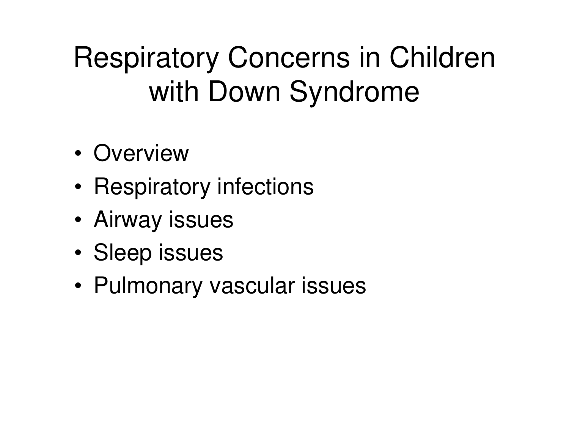## Respiratory Concerns in Children with Down Syndrome

- •**Overview**
- Racnira: Respiratory infections
- •Airway issues
- •Sleep issues
- •Pulmonary vascular issues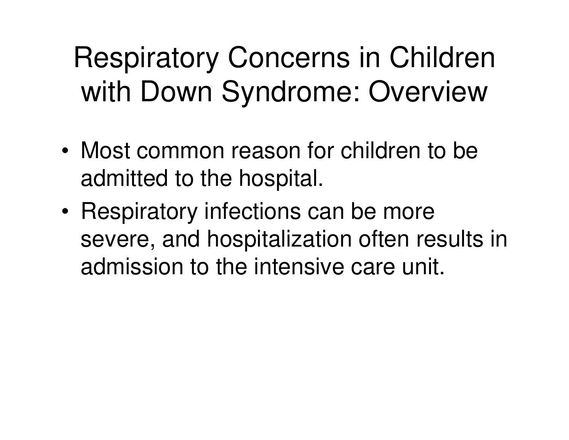### Respiratory Concerns in Children with Down Syndrome: Overview

- • Most common reason for children to be admitted to the hospital.
- • Respiratory infections can be more severe, and hospitalization often results in admission to the intensive care unit.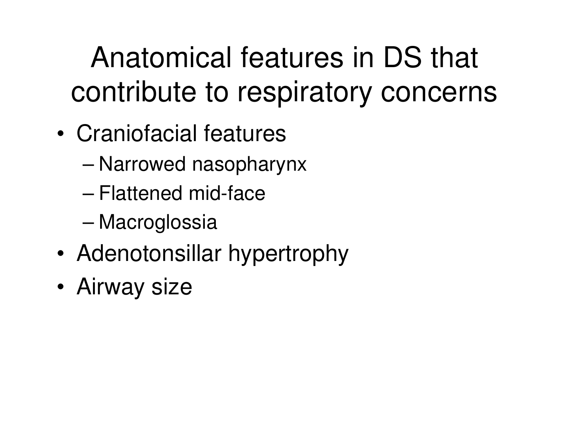Anatomical features in DS that contribute to respiratory concerns

- • Craniofacial features
	- –Narrowed nasopharynx
	- –Flattened mid-face
	- –**Macroglossia**
- •Adenotonsillar hypertrophy
- •Airway size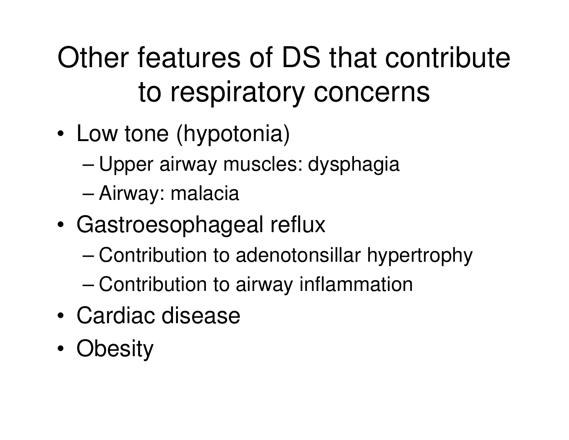# Other features of DS that contribute to respiratory concerns

- • Low tone (hypotonia)
	- –Upper airway muscles: dysphagia
	- –Airway: malacia
- • Gastroesophageal reflux
	- –Contribution to adenotonsillar hypertrophy
	- –Contribution to airway inflammation
- •Cardiac disease
- •**Obesity**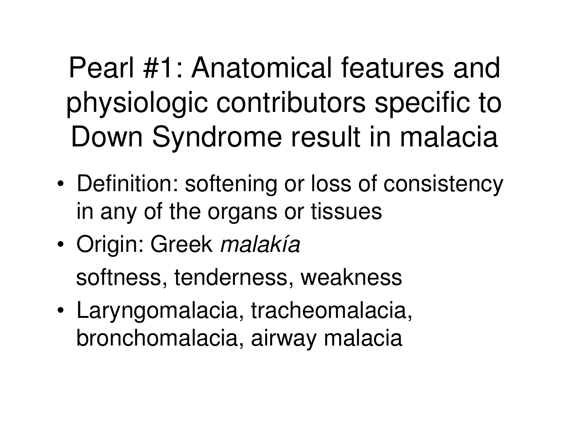Pearl #1: Anatomical features and physiologic contributors specific to Down Syndrome result in malacia

- • Definition: softening or loss of consistency in any of the organs or tissues
- • Origin: Greek malakíasoftness, tenderness, weakness
- • Laryngomalacia, tracheomalacia, bronchomalacia, airway malacia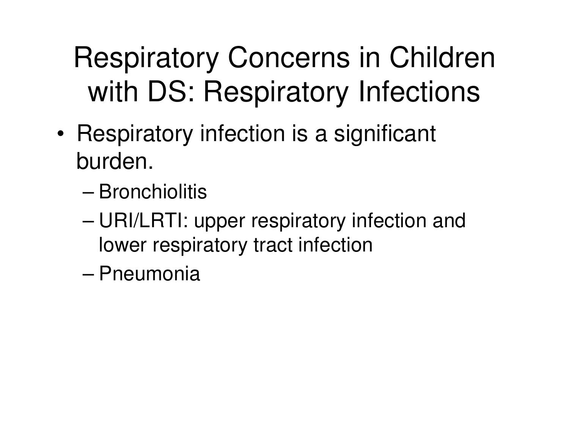## Respiratory Concerns in Children with DS: Respiratory Infections

- • Respiratory infection is a significant burden.
	- –**Bronchiolitis**
	- – URI/LRTI: upper respiratory infection and lower respiratory tract infection
	- –**Pneumonia**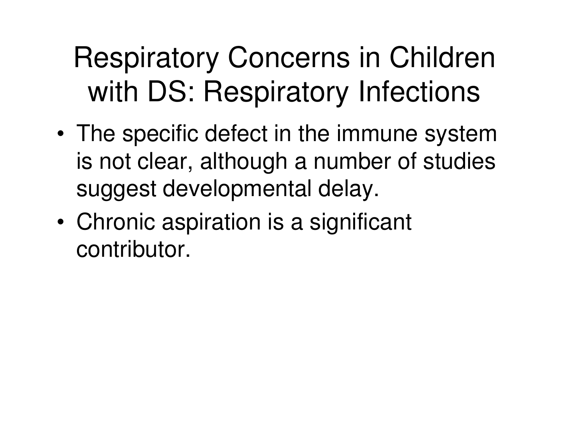### Respiratory Concerns in Children with DS: Respiratory Infections

- • The specific defect in the immune system is not clear, although a number of studies suggest developmental delay.
- • Chronic aspiration is a significant contributor.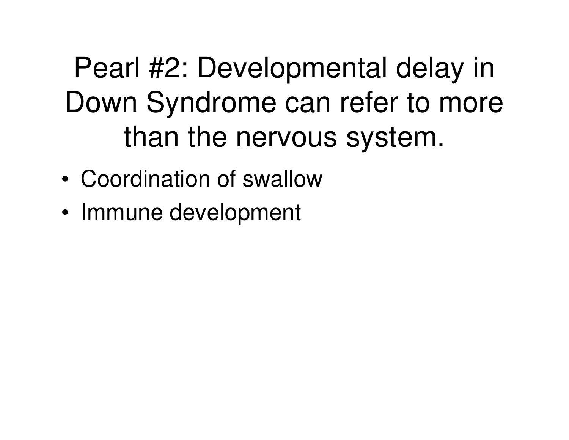Pearl #2: Developmental delay in Down Syndrome can refer to more than the nervous system.

- •Coordination of swallow
- •Immune development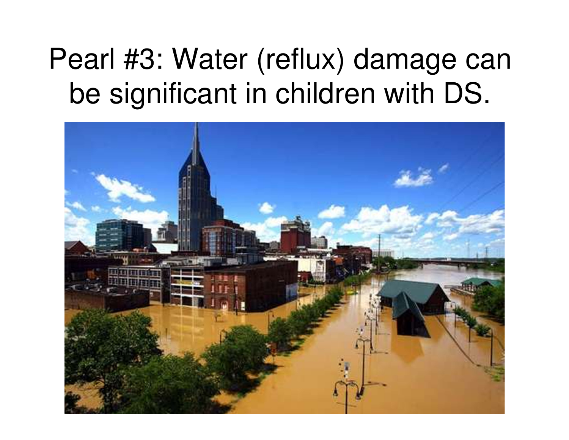#### Pearl #3: Water (reflux) damage can be significant in children with DS.

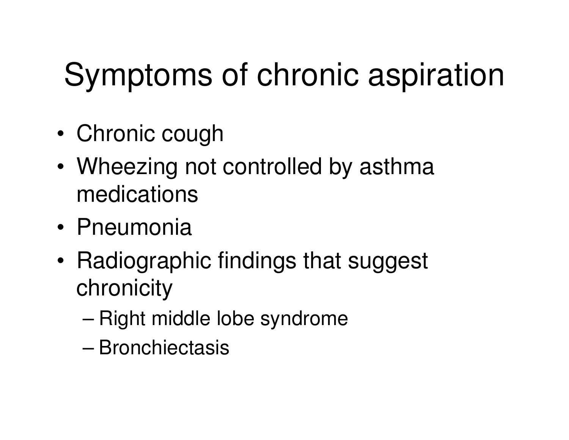# Symptoms of chronic aspiration

- •Chronic cough
- • Wheezing not controlled by asthma medications
- •Pneumonia
- • Radiographic findings that suggest chronicity
	- –Right middle lobe syndrome
	- –**Bronchiectasis**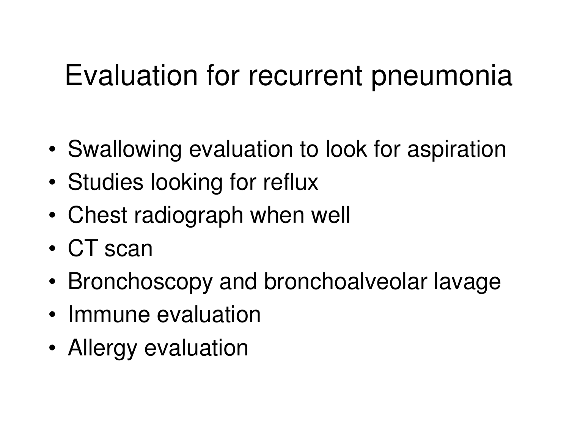#### Evaluation for recurrent pneumonia

- •Swallowing evaluation to look for aspiration
- •Studies looking for reflux
- •Chest radiograph when well
- •CT scan
- •Bronchoscopy and bronchoalveolar lavage
- •Immune evaluation
- •Allergy evaluation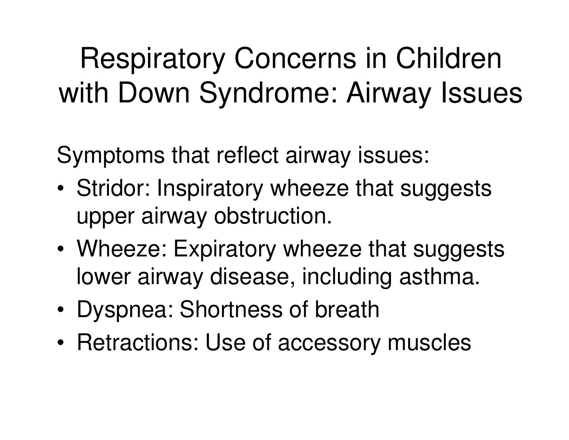### Respiratory Concerns in Children with Down Syndrome: Airway Issues

Symptoms that reflect airway issues:

- • Stridor: Inspiratory wheeze that suggests upper airway obstruction.
- • Wheeze: Expiratory wheeze that suggests lower airway disease, including asthma.
- •Dyspnea: Shortness of breath
- •Retractions: Use of accessory muscles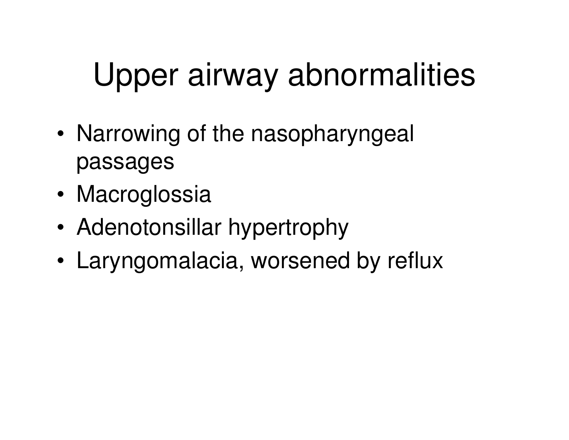# Upper airway abnormalities

- • Narrowing of the nasopharyngeal passages
- •**Macroglossia**
- •Adenotonsillar hypertrophy
- •Laryngomalacia, worsened by reflux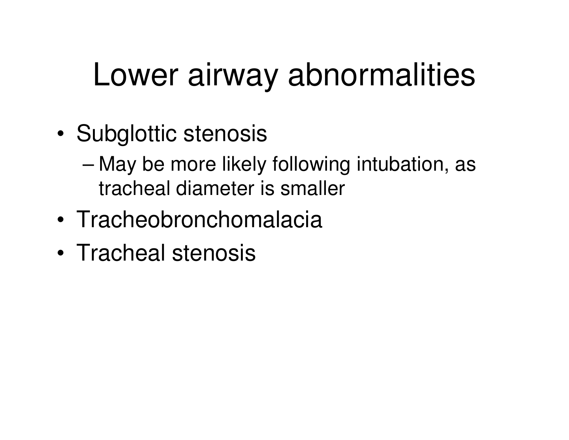# Lower airway abnormalities

- • Subglottic stenosis
	- – May be more likely following intubation, as tracheal diameter is smaller
- •Tracheobronchomalacia
- •Tracheal stenosis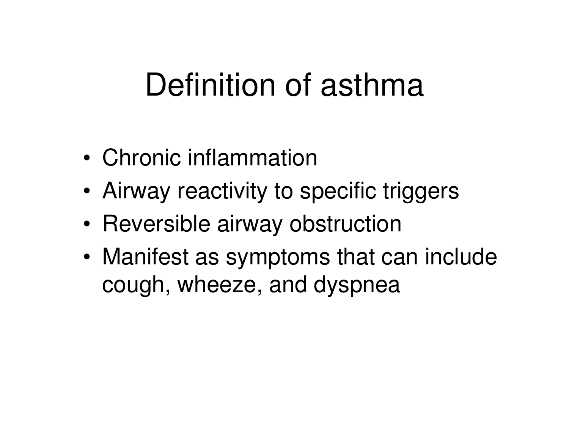## Definition of asthma

- •Chronic inflammation
- •Airway reactivity to specific triggers
- •Reversible airway obstruction
- • Manifest as symptoms that can include cough, wheeze, and dyspnea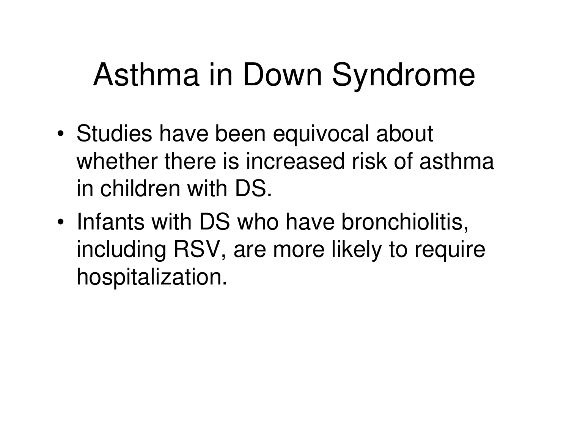# Asthma in Down Syndrome

- • Studies have been equivocal about whether there is increased risk of asthma in children with DS.
- • Infants with DS who have bronchiolitis, including RSV, are more likely to require hospitalization.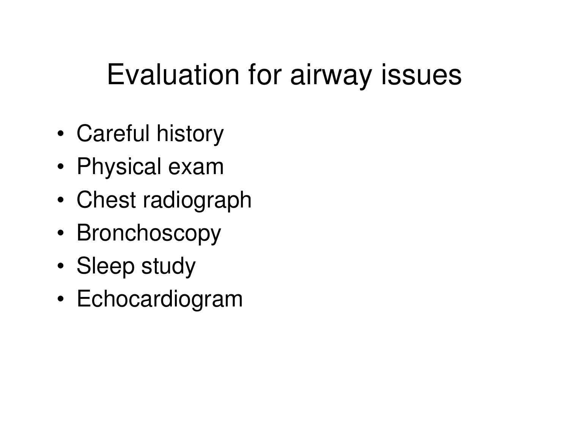#### Evaluation for airway issues

- •Careful history
- •Physical exam
- Chast radion Chest radiograph
- •Bronchoscopy
- •Sleep study
- •Echocardiogram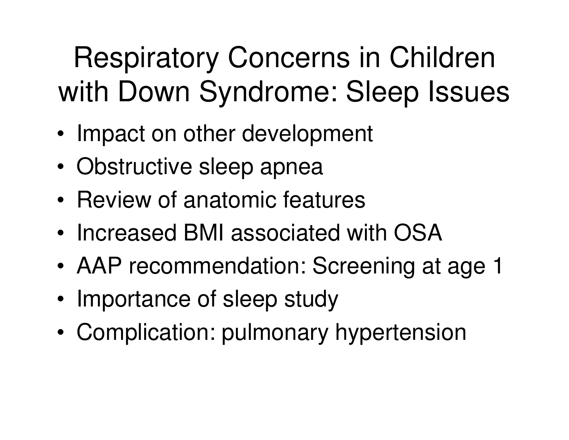## Respiratory Concerns in Children with Down Syndrome: Sleep Issues

- •Impact on other development
- •Obstructive sleep apnea
- •Review of anatomic features
- •Increased BMI associated with OSA
- •AAP recommendation: Screening at age 1
- •Importance of sleep study
- •Complication: pulmonary hypertension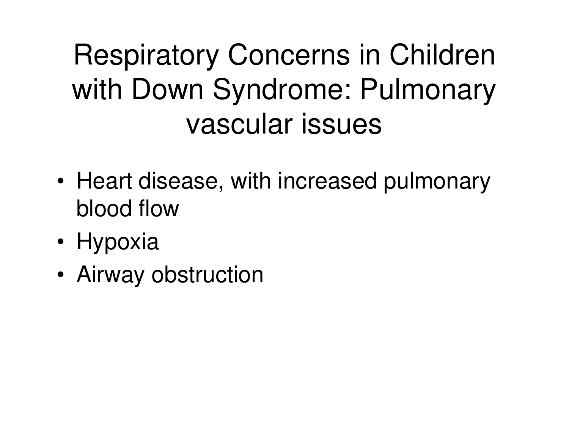### Respiratory Concerns in Children with Down Syndrome: Pulmonary vascular issues

- • Heart disease, with increased pulmonary blood flow
- •Hypoxia
- •Airway obstruction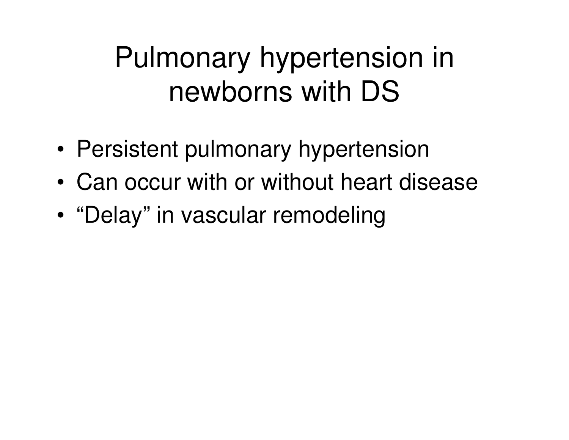#### Pulmonary hypertension in newborns with DS

- •Persistent pulmonary hypertension
- •Can occur with or without heart disease
- •"Delay" in vascular remodeling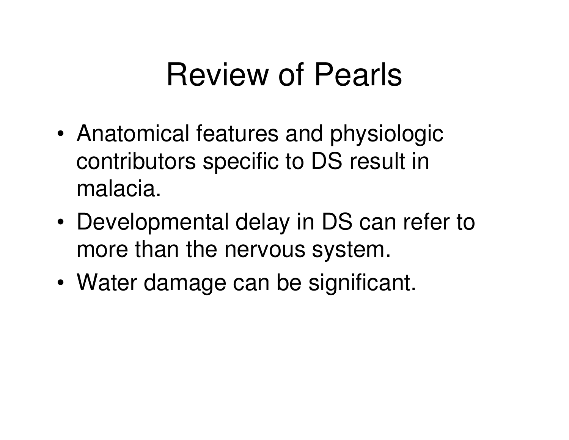### Review of Pearls

- • Anatomical features and physiologic contributors specific to DS result in malacia.
- • Developmental delay in DS can refer to more than the nervous system.
- •Water damage can be significant.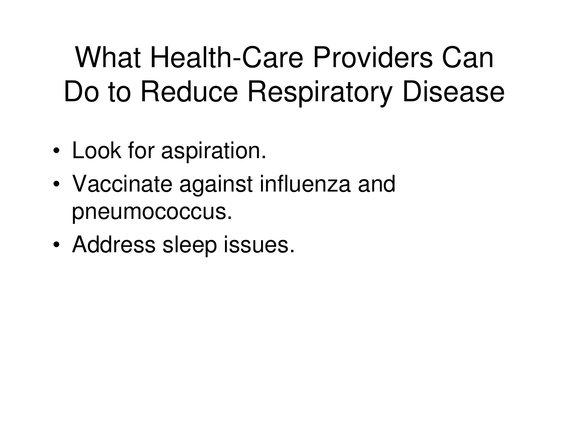#### What Health-Care Providers Can Do to Reduce Respiratory Disease

- •Look for aspiration.
- • Vaccinate against influenza and pneumococcus.
- •Address sleep issues.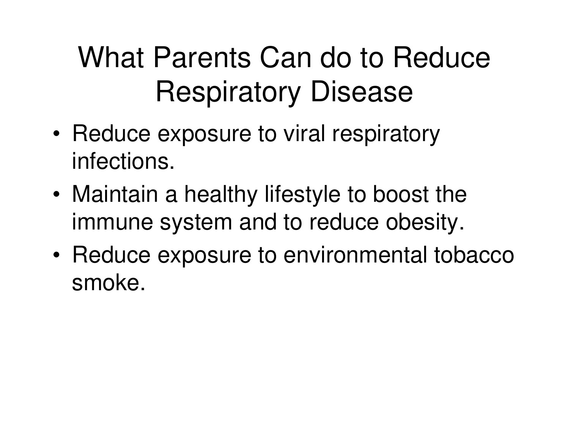### What Parents Can do to Reduce Respiratory Disease

- • Reduce exposure to viral respiratory infections.
- • Maintain a healthy lifestyle to boost the immune system and to reduce obesity.
- • Reduce exposure to environmental tobacco smoke.